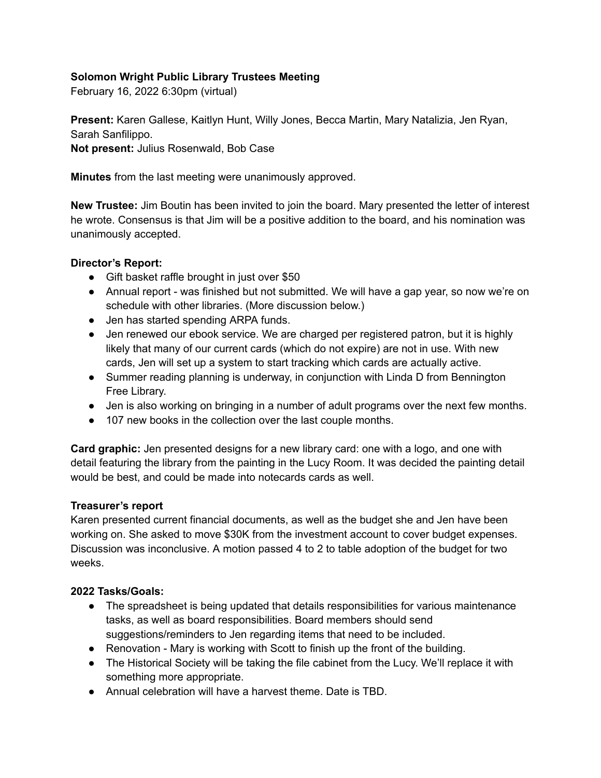# **Solomon Wright Public Library Trustees Meeting**

February 16, 2022 6:30pm (virtual)

**Present:** Karen Gallese, Kaitlyn Hunt, Willy Jones, Becca Martin, Mary Natalizia, Jen Ryan, Sarah Sanfilippo.

**Not present:** Julius Rosenwald, Bob Case

**Minutes** from the last meeting were unanimously approved.

**New Trustee:** Jim Boutin has been invited to join the board. Mary presented the letter of interest he wrote. Consensus is that Jim will be a positive addition to the board, and his nomination was unanimously accepted.

## **Director's Report:**

- Gift basket raffle brought in just over \$50
- Annual report was finished but not submitted. We will have a gap year, so now we're on schedule with other libraries. (More discussion below.)
- Jen has started spending ARPA funds.
- Jen renewed our ebook service. We are charged per registered patron, but it is highly likely that many of our current cards (which do not expire) are not in use. With new cards, Jen will set up a system to start tracking which cards are actually active.
- Summer reading planning is underway, in conjunction with Linda D from Bennington Free Library.
- Jen is also working on bringing in a number of adult programs over the next few months.
- 107 new books in the collection over the last couple months.

**Card graphic:** Jen presented designs for a new library card: one with a logo, and one with detail featuring the library from the painting in the Lucy Room. It was decided the painting detail would be best, and could be made into notecards cards as well.

### **Treasurer's report**

Karen presented current financial documents, as well as the budget she and Jen have been working on. She asked to move \$30K from the investment account to cover budget expenses. Discussion was inconclusive. A motion passed 4 to 2 to table adoption of the budget for two weeks.

# **2022 Tasks/Goals:**

- The spreadsheet is being updated that details responsibilities for various maintenance tasks, as well as board responsibilities. Board members should send suggestions/reminders to Jen regarding items that need to be included.
- Renovation Mary is working with Scott to finish up the front of the building.
- The Historical Society will be taking the file cabinet from the Lucy. We'll replace it with something more appropriate.
- Annual celebration will have a harvest theme. Date is TBD.